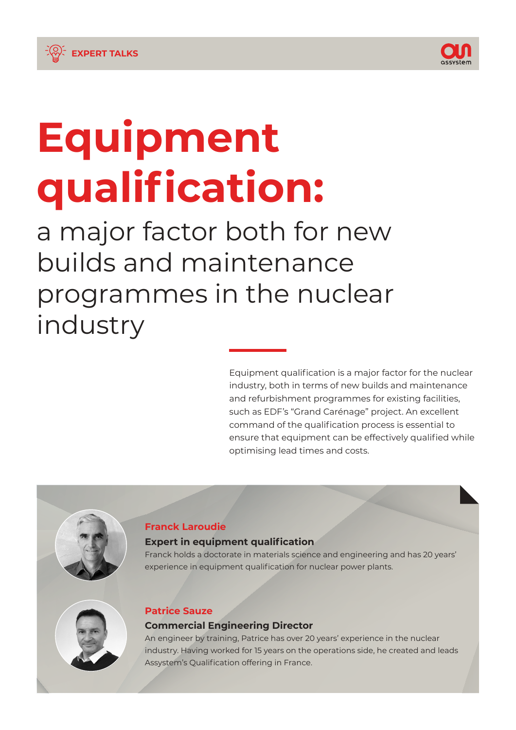

1

# **Equipment qualification:**

**EXPERT TALKS**

a major factor both for new builds and maintenance programmes in the nuclear industry

> Equipment qualification is a major factor for the nuclear industry, both in terms of new builds and maintenance and refurbishment programmes for existing facilities, such as EDF's "Grand Carénage" project. An excellent command of the qualification process is essential to ensure that equipment can be effectively qualified while optimising lead times and costs.



## **Franck Laroudie**

#### **Expert in equipment qualification**

Franck holds a doctorate in materials science and engineering and has 20 years' experience in equipment qualification for nuclear power plants.



## **Patrice Sauze**

### **Commercial Engineering Director**

An engineer by training, Patrice has over 20 years' experience in the nuclear industry. Having worked for 15 years on the operations side, he created and leads Assystem's Qualification offering in France.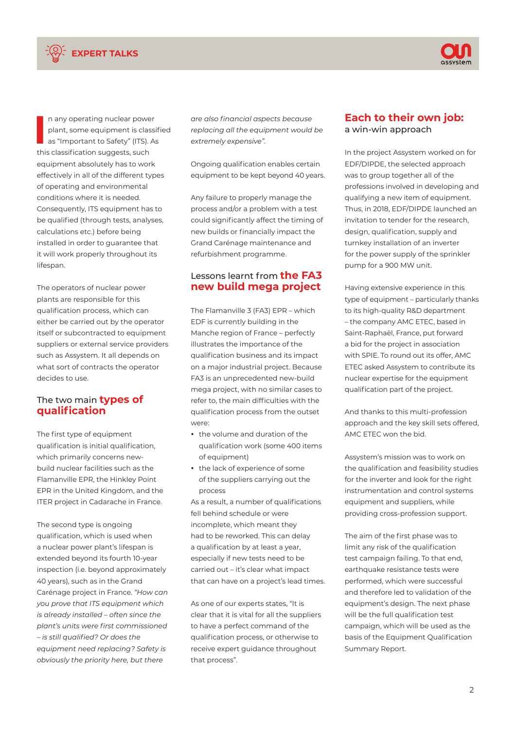



**I** n any operating nuclear power plant, some equipment is classified as "Important to Safety" (ITS). As this classification suggests, such equipment absolutely has to work effectively in all of the different types of operating and environmental conditions where it is needed. Consequently, ITS equipment has to be qualified (through tests, analyses, calculations etc.) before being installed in order to guarantee that it will work properly throughout its lifespan.

The operators of nuclear power plants are responsible for this qualification process, which can either be carried out by the operator itself or subcontracted to equipment suppliers or external service providers such as Assystem. It all depends on what sort of contracts the operator decides to use.

#### The two main **types of qualification**

The first type of equipment qualification is initial qualification, which primarily concerns newbuild nuclear facilities such as the Flamanville EPR, the Hinkley Point EPR in the United Kingdom, and the ITER project in Cadarache in France.

The second type is ongoing qualification, which is used when a nuclear power plant's lifespan is extended beyond its fourth 10-year inspection (i.e. beyond approximately 40 years), such as in the Grand Carénage project in France. *"How can you prove that ITS equipment which is already installed – often since the plant's units were first commissioned – is still qualified? Or does the equipment need replacing? Safety is obviously the priority here, but there* 

*are also financial aspects because replacing all the equipment would be extremely expensive".* 

Ongoing qualification enables certain equipment to be kept beyond 40 years.

Any failure to properly manage the process and/or a problem with a test could significantly affect the timing of new builds or financially impact the Grand Carénage maintenance and refurbishment programme.

#### Lessons learnt from **the FA3 new build mega project**

The Flamanville 3 (FA3) EPR – which EDF is currently building in the Manche region of France – perfectly illustrates the importance of the qualification business and its impact on a major industrial project. Because FA3 is an unprecedented new-build mega project, with no similar cases to refer to, the main difficulties with the qualification process from the outset were:

- y the volume and duration of the qualification work (some 400 items of equipment)
- the lack of experience of some of the suppliers carrying out the process

As a result, a number of qualifications fell behind schedule or were incomplete, which meant they had to be reworked. This can delay a qualification by at least a year, especially if new tests need to be carried out – it's clear what impact that can have on a project's lead times.

As one of our experts states, "It is clear that it is vital for all the suppliers to have a perfect command of the qualification process, or otherwise to receive expert guidance throughout that process".

#### **Each to their own job:** a win-win approach

In the project Assystem worked on for EDF/DIPDE, the selected approach was to group together all of the professions involved in developing and qualifying a new item of equipment. Thus, in 2018, EDF/DIPDE launched an invitation to tender for the research, design, qualification, supply and turnkey installation of an inverter for the power supply of the sprinkler pump for a 900 MW unit.

Having extensive experience in this type of equipment – particularly thanks to its high-quality R&D department – the company AMC ETEC, based in Saint-Raphaël, France, put forward a bid for the project in association with SPIE. To round out its offer, AMC ETEC asked Assystem to contribute its nuclear expertise for the equipment qualification part of the project.

And thanks to this multi-profession approach and the key skill sets offered, AMC ETEC won the bid.

Assystem's mission was to work on the qualification and feasibility studies for the inverter and look for the right instrumentation and control systems equipment and suppliers, while providing cross-profession support.

The aim of the first phase was to limit any risk of the qualification test campaign failing. To that end, earthquake resistance tests were performed, which were successful and therefore led to validation of the equipment's design. The next phase will be the full qualification test campaign, which will be used as the basis of the Equipment Qualification Summary Report.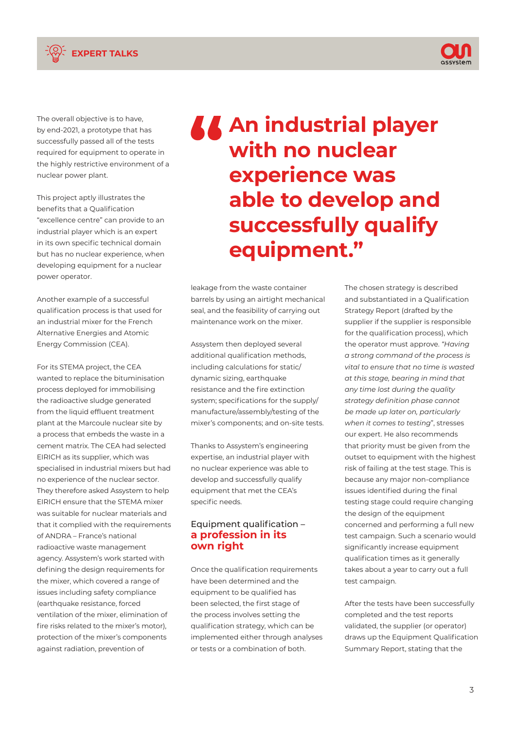



The overall objective is to have, by end-2021, a prototype that has successfully passed all of the tests required for equipment to operate in the highly restrictive environment of a nuclear power plant.

This project aptly illustrates the benefits that a Qualification "excellence centre" can provide to an industrial player which is an expert in its own specific technical domain but has no nuclear experience, when developing equipment for a nuclear power operator.

Another example of a successful qualification process is that used for an industrial mixer for the French Alternative Energies and Atomic Energy Commission (CEA).

For its STEMA project, the CEA wanted to replace the bituminisation process deployed for immobilising the radioactive sludge generated from the liquid effluent treatment plant at the Marcoule nuclear site by a process that embeds the waste in a cement matrix. The CEA had selected EIRICH as its supplier, which was specialised in industrial mixers but had no experience of the nuclear sector. They therefore asked Assystem to help EIRICH ensure that the STEMA mixer was suitable for nuclear materials and that it complied with the requirements of ANDRA – France's national radioactive waste management agency. Assystem's work started with defining the design requirements for the mixer, which covered a range of issues including safety compliance (earthquake resistance, forced ventilation of the mixer, elimination of fire risks related to the mixer's motor), protection of the mixer's components against radiation, prevention of

**An industrial player with no nuclear experience was able to develop and successfully qualify equipment."**

leakage from the waste container barrels by using an airtight mechanical seal, and the feasibility of carrying out maintenance work on the mixer.

Assystem then deployed several additional qualification methods, including calculations for static/ dynamic sizing, earthquake resistance and the fire extinction system; specifications for the supply/ manufacture/assembly/testing of the mixer's components; and on-site tests.

Thanks to Assystem's engineering expertise, an industrial player with no nuclear experience was able to develop and successfully qualify equipment that met the CEA's specific needs.

#### Equipment qualification – **a profession in its own right**

Once the qualification requirements have been determined and the equipment to be qualified has been selected, the first stage of the process involves setting the qualification strategy, which can be implemented either through analyses or tests or a combination of both.

The chosen strategy is described and substantiated in a Qualification Strategy Report (drafted by the supplier if the supplier is responsible for the qualification process), which the operator must approve. *"Having a strong command of the process is vital to ensure that no time is wasted at this stage, bearing in mind that any time lost during the quality strategy definition phase cannot be made up later on, particularly when it comes to testing*", stresses our expert. He also recommends that priority must be given from the outset to equipment with the highest risk of failing at the test stage. This is because any major non-compliance issues identified during the final testing stage could require changing the design of the equipment concerned and performing a full new test campaign. Such a scenario would significantly increase equipment qualification times as it generally takes about a year to carry out a full test campaign.

After the tests have been successfully completed and the test reports validated, the supplier (or operator) draws up the Equipment Qualification Summary Report, stating that the